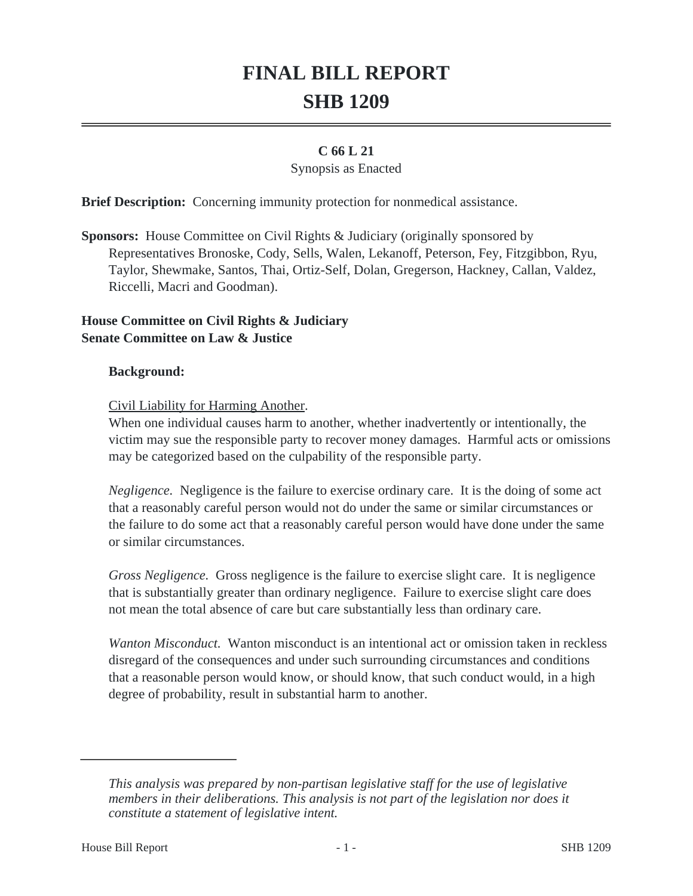# **FINAL BILL REPORT SHB 1209**

# **C 66 L 21**

#### Synopsis as Enacted

**Brief Description:** Concerning immunity protection for nonmedical assistance.

**Sponsors:** House Committee on Civil Rights & Judiciary (originally sponsored by Representatives Bronoske, Cody, Sells, Walen, Lekanoff, Peterson, Fey, Fitzgibbon, Ryu, Taylor, Shewmake, Santos, Thai, Ortiz-Self, Dolan, Gregerson, Hackney, Callan, Valdez, Riccelli, Macri and Goodman).

#### **House Committee on Civil Rights & Judiciary Senate Committee on Law & Justice**

#### **Background:**

Civil Liability for Harming Another.

When one individual causes harm to another, whether inadvertently or intentionally, the victim may sue the responsible party to recover money damages. Harmful acts or omissions may be categorized based on the culpability of the responsible party.

*Negligence.* Negligence is the failure to exercise ordinary care. It is the doing of some act that a reasonably careful person would not do under the same or similar circumstances or the failure to do some act that a reasonably careful person would have done under the same or similar circumstances.

*Gross Negligence.* Gross negligence is the failure to exercise slight care. It is negligence that is substantially greater than ordinary negligence. Failure to exercise slight care does not mean the total absence of care but care substantially less than ordinary care.

*Wanton Misconduct.* Wanton misconduct is an intentional act or omission taken in reckless disregard of the consequences and under such surrounding circumstances and conditions that a reasonable person would know, or should know, that such conduct would, in a high degree of probability, result in substantial harm to another.

*This analysis was prepared by non-partisan legislative staff for the use of legislative members in their deliberations. This analysis is not part of the legislation nor does it constitute a statement of legislative intent.*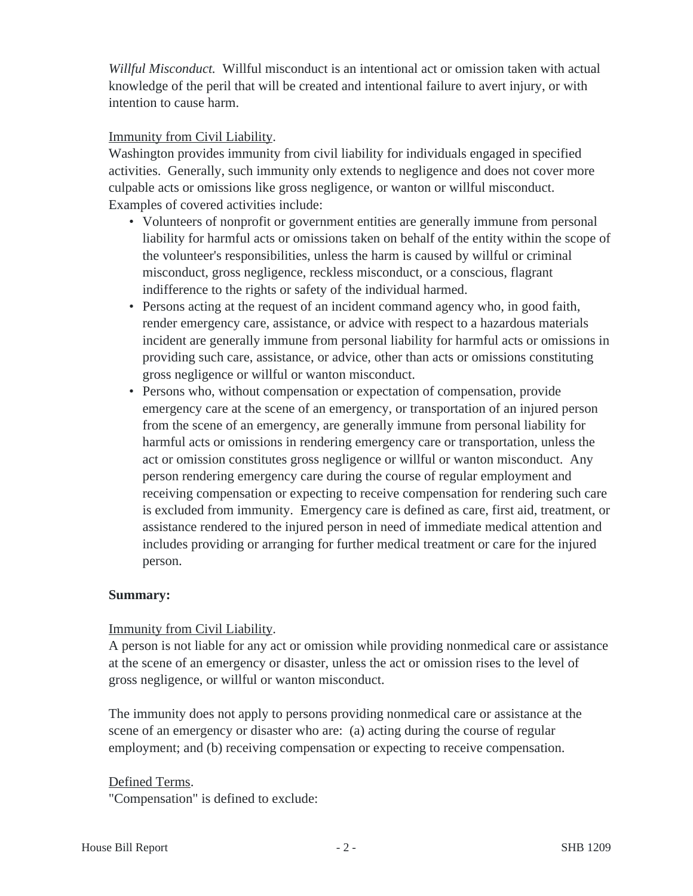*Willful Misconduct.* Willful misconduct is an intentional act or omission taken with actual knowledge of the peril that will be created and intentional failure to avert injury, or with intention to cause harm.

# Immunity from Civil Liability.

Washington provides immunity from civil liability for individuals engaged in specified activities. Generally, such immunity only extends to negligence and does not cover more culpable acts or omissions like gross negligence, or wanton or willful misconduct. Examples of covered activities include:

- Volunteers of nonprofit or government entities are generally immune from personal liability for harmful acts or omissions taken on behalf of the entity within the scope of the volunteer's responsibilities, unless the harm is caused by willful or criminal misconduct, gross negligence, reckless misconduct, or a conscious, flagrant indifference to the rights or safety of the individual harmed.
- Persons acting at the request of an incident command agency who, in good faith, render emergency care, assistance, or advice with respect to a hazardous materials incident are generally immune from personal liability for harmful acts or omissions in providing such care, assistance, or advice, other than acts or omissions constituting gross negligence or willful or wanton misconduct.
- Persons who, without compensation or expectation of compensation, provide emergency care at the scene of an emergency, or transportation of an injured person from the scene of an emergency, are generally immune from personal liability for harmful acts or omissions in rendering emergency care or transportation, unless the act or omission constitutes gross negligence or willful or wanton misconduct. Any person rendering emergency care during the course of regular employment and receiving compensation or expecting to receive compensation for rendering such care is excluded from immunity. Emergency care is defined as care, first aid, treatment, or assistance rendered to the injured person in need of immediate medical attention and includes providing or arranging for further medical treatment or care for the injured person.

# **Summary:**

# Immunity from Civil Liability.

A person is not liable for any act or omission while providing nonmedical care or assistance at the scene of an emergency or disaster, unless the act or omission rises to the level of gross negligence, or willful or wanton misconduct.

The immunity does not apply to persons providing nonmedical care or assistance at the scene of an emergency or disaster who are: (a) acting during the course of regular employment; and (b) receiving compensation or expecting to receive compensation.

# Defined Terms.

"Compensation" is defined to exclude: